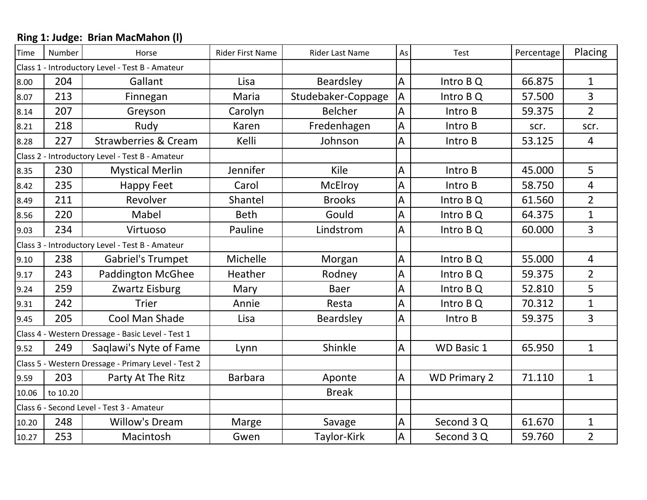| <b>Time</b>                                     | Number   | Horse                                               | <b>Rider First Name</b> | <b>Rider Last Name</b> | As | Percentage<br>Test  |        | Placing        |
|-------------------------------------------------|----------|-----------------------------------------------------|-------------------------|------------------------|----|---------------------|--------|----------------|
|                                                 |          | Class 1 - Introductory Level - Test B - Amateur     |                         |                        |    |                     |        |                |
| 8.00                                            | 204      | Gallant                                             | Lisa                    | Beardsley              | A  | Intro B Q           | 66.875 | $\mathbf{1}$   |
| 8.07                                            | 213      | Finnegan                                            | Maria                   | Studebaker-Coppage     | A  | Intro B Q           | 57.500 | 3              |
| 8.14                                            | 207      | Greyson                                             | Carolyn                 | <b>Belcher</b>         | A  | Intro B             | 59.375 | $\overline{2}$ |
| 8.21                                            | 218      | Rudy                                                | Karen                   | Fredenhagen            | A  | Intro B             | scr.   | scr.           |
| 8.28                                            | 227      | <b>Strawberries &amp; Cream</b>                     | Kelli                   | Johnson                | A  | Intro B             | 53.125 | 4              |
|                                                 |          | Class 2 - Introductory Level - Test B - Amateur     |                         |                        |    |                     |        |                |
| 8.35                                            | 230      | <b>Mystical Merlin</b>                              | Jennifer                | Kile                   | A  | Intro B             | 45.000 | 5              |
| 8.42                                            | 235      | <b>Happy Feet</b>                                   | Carol                   | McElroy                | A  | Intro B             | 58.750 | 4              |
| 8.49                                            | 211      | Revolver                                            | Shantel                 | <b>Brooks</b>          | A  | Intro B Q           | 61.560 | $\overline{2}$ |
| 8.56                                            | 220      | Mabel                                               | <b>Beth</b>             | Gould                  | A  | Intro B Q           | 64.375 | $\mathbf 1$    |
| 9.03                                            | 234      | Virtuoso                                            | Pauline                 | Lindstrom              | A  | Intro B Q           | 60.000 | $\overline{3}$ |
| Class 3 - Introductory Level - Test B - Amateur |          |                                                     |                         |                        |    |                     |        |                |
| 9.10                                            | 238      | <b>Gabriel's Trumpet</b>                            | Michelle                | Morgan                 | A  | Intro B Q           | 55.000 | $\overline{4}$ |
| 9.17                                            | 243      | <b>Paddington McGhee</b>                            | Heather                 | Rodney                 | A  | Intro B Q           | 59.375 | $\overline{2}$ |
| 9.24                                            | 259      | Zwartz Eisburg                                      | Mary                    | <b>Baer</b>            | A  | Intro B Q           | 52.810 | 5              |
| 9.31                                            | 242      | <b>Trier</b>                                        | Annie                   | Resta                  | A  | Intro B Q           | 70.312 | $\mathbf{1}$   |
| 9.45                                            | 205      | Cool Man Shade                                      | Lisa                    | Beardsley              | A  | Intro B             | 59.375 | 3              |
|                                                 |          | Class 4 - Western Dressage - Basic Level - Test 1   |                         |                        |    |                     |        |                |
| 9.52                                            | 249      | Saglawi's Nyte of Fame                              | Lynn                    | Shinkle                | A  | <b>WD Basic 1</b>   | 65.950 | $\mathbf{1}$   |
|                                                 |          | Class 5 - Western Dressage - Primary Level - Test 2 |                         |                        |    |                     |        |                |
| 9.59                                            | 203      | Party At The Ritz                                   | <b>Barbara</b>          | Aponte                 | A  | <b>WD Primary 2</b> | 71.110 | $\mathbf 1$    |
| 10.06                                           | to 10.20 |                                                     |                         | <b>Break</b>           |    |                     |        |                |
|                                                 |          | Class 6 - Second Level - Test 3 - Amateur           |                         |                        |    |                     |        |                |
| 10.20                                           | 248      | <b>Willow's Dream</b>                               | Marge                   | Savage                 | A  | Second 3 Q          | 61.670 | $\mathbf{1}$   |
| 10.27                                           | 253      | Macintosh                                           | Gwen                    | Taylor-Kirk            | A  | Second 3 Q          | 59.760 | $\overline{2}$ |

## **Ring 1: Judge: Brian MacMahon (l)**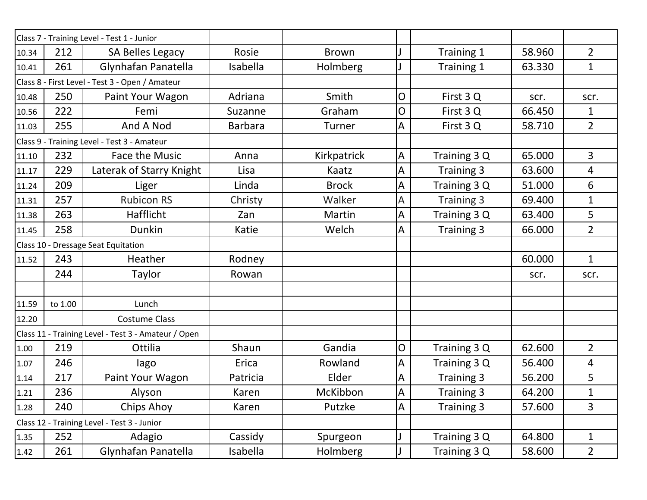|       |         | Class 7 - Training Level - Test 1 - Junior          |                |              |              |                   |        |                 |
|-------|---------|-----------------------------------------------------|----------------|--------------|--------------|-------------------|--------|-----------------|
| 10.34 | 212     | SA Belles Legacy                                    | Rosie          | <b>Brown</b> |              | Training 1        | 58.960 | $\overline{2}$  |
| 10.41 | 261     | Glynhafan Panatella                                 | Isabella       | Holmberg     |              | Training 1        | 63.330 | $\mathbf{1}$    |
|       |         | Class 8 - First Level - Test 3 - Open / Amateur     |                |              |              |                   |        |                 |
| 10.48 | 250     | Paint Your Wagon                                    | Adriana        | Smith        | O            | First 3 Q         | scr.   | scr.            |
| 10.56 | 222     | Femi                                                | Suzanne        | Graham       | 0            | First 3Q          | 66.450 | $\mathbf{1}$    |
| 11.03 | 255     | And A Nod                                           | <b>Barbara</b> | Turner       | A            | First 3Q          | 58.710 | $\overline{2}$  |
|       |         | Class 9 - Training Level - Test 3 - Amateur         |                |              |              |                   |        |                 |
| 11.10 | 232     | <b>Face the Music</b>                               | Anna           | Kirkpatrick  | A            | Training 3 Q      | 65.000 | $\overline{3}$  |
| 11.17 | 229     | Laterak of Starry Knight                            | Lisa           | Kaatz        | A            | Training 3        | 63.600 | $\overline{4}$  |
| 11.24 | 209     | Liger                                               | Linda          | <b>Brock</b> | A            | Training 3 Q      | 51.000 | 6               |
| 11.31 | 257     | <b>Rubicon RS</b>                                   | Christy        | Walker       | А            | Training 3        | 69.400 | $\mathbf{1}$    |
| 11.38 | 263     | Hafflicht                                           | Zan            | Martin       | A            | Training 3 Q      | 63.400 | 5               |
| 11.45 | 258     | <b>Dunkin</b>                                       | Katie          | Welch        | A            | <b>Training 3</b> | 66.000 | $\overline{2}$  |
|       |         | Class 10 - Dressage Seat Equitation                 |                |              |              |                   |        |                 |
| 11.52 | 243     | Heather                                             | Rodney         |              |              |                   | 60.000 | $\mathbf{1}$    |
|       | 244     | Taylor                                              | Rowan          |              |              |                   | scr.   | scr.            |
|       |         |                                                     |                |              |              |                   |        |                 |
| 11.59 | to 1.00 | Lunch                                               |                |              |              |                   |        |                 |
| 12.20 |         | <b>Costume Class</b>                                |                |              |              |                   |        |                 |
|       |         | Class 11 - Training Level - Test 3 - Amateur / Open |                |              |              |                   |        |                 |
| 1.00  | 219     | Ottilia                                             | Shaun          | Gandia       | O            | Training 3 Q      | 62.600 | $\overline{2}$  |
| 1.07  | 246     | lago                                                | Erica          | Rowland      | A            | Training 3 Q      | 56.400 | $\overline{4}$  |
| 1.14  | 217     | Paint Your Wagon                                    | Patricia       | Elder        | A            | Training 3        | 56.200 | 5               |
| 1.21  | 236     | Alyson                                              | Karen          | McKibbon     | $\mathsf{A}$ | Training 3        | 64.200 | 1               |
| 1.28  | 240     | Chips Ahoy                                          | Karen          | Putzke       | A            | Training 3        | 57.600 | $\overline{3}$  |
|       |         | Class 12 - Training Level - Test 3 - Junior         |                |              |              |                   |        |                 |
| 1.35  | 252     | Adagio                                              | Cassidy        | Spurgeon     |              | Training 3 Q      | 64.800 | $\mathbf{1}$    |
| 1.42  | 261     | Glynhafan Panatella                                 | Isabella       | Holmberg     |              | Training 3 Q      | 58.600 | $2\overline{ }$ |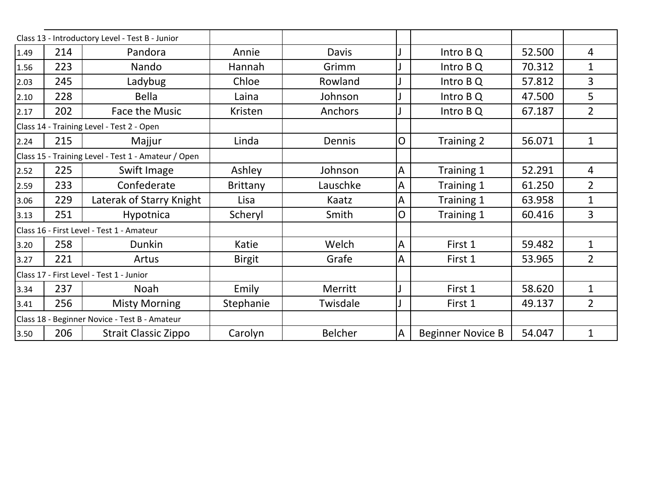|      |     | Class 13 - Introductory Level - Test B - Junior     |                 |                |                |                          |        |                |
|------|-----|-----------------------------------------------------|-----------------|----------------|----------------|--------------------------|--------|----------------|
| 1.49 | 214 | Pandora                                             | Annie           | Davis          |                | Intro B Q                | 52.500 | 4              |
| 1.56 | 223 | Nando                                               | Hannah          | Grimm          |                | Intro B Q                | 70.312 | 1              |
| 2.03 | 245 | Ladybug                                             | Chloe           | Rowland        |                | Intro B Q                | 57.812 | 3              |
| 2.10 | 228 | <b>Bella</b>                                        | Laina           | Johnson        |                | Intro B Q                | 47.500 | 5              |
| 2.17 | 202 | Face the Music                                      | Kristen         | Anchors        |                | Intro B Q                | 67.187 | $\overline{2}$ |
|      |     | Class 14 - Training Level - Test 2 - Open           |                 |                |                |                          |        |                |
| 2.24 | 215 | Majjur                                              | Linda           | Dennis         | $\mathsf{O}$   | Training 2               | 56.071 | $\mathbf{1}$   |
|      |     | Class 15 - Training Level - Test 1 - Amateur / Open |                 |                |                |                          |        |                |
| 2.52 | 225 | Swift Image                                         | Ashley          | Johnson        | A              | Training 1               | 52.291 | 4              |
| 2.59 | 233 | Confederate                                         | <b>Brittany</b> | Lauschke       | $\overline{A}$ | Training 1               | 61.250 | $\overline{2}$ |
| 3.06 | 229 | Laterak of Starry Knight                            | Lisa            | Kaatz          | A              | Training 1               | 63.958 | $\mathbf 1$    |
| 3.13 | 251 | Hypotnica                                           | Scheryl         | Smith          | $\mathsf{O}$   | Training 1               | 60.416 | 3              |
|      |     | Class 16 - First Level - Test 1 - Amateur           |                 |                |                |                          |        |                |
| 3.20 | 258 | Dunkin                                              | Katie           | Welch          | A              | First 1                  | 59.482 | $\mathbf 1$    |
| 3.27 | 221 | Artus                                               | <b>Birgit</b>   | Grafe          | A              | First 1                  | 53.965 | $\overline{2}$ |
|      |     | Class 17 - First Level - Test 1 - Junior            |                 |                |                |                          |        |                |
| 3.34 | 237 | Noah                                                | Emily           | Merritt        |                | First 1                  | 58.620 | $\mathbf{1}$   |
| 3.41 | 256 | <b>Misty Morning</b>                                | Stephanie       | Twisdale       |                | First 1                  | 49.137 | $\overline{2}$ |
|      |     | Class 18 - Beginner Novice - Test B - Amateur       |                 |                |                |                          |        |                |
| 3.50 | 206 | <b>Strait Classic Zippo</b>                         | Carolyn         | <b>Belcher</b> | $\mathsf{A}$   | <b>Beginner Novice B</b> | 54.047 | $\mathbf 1$    |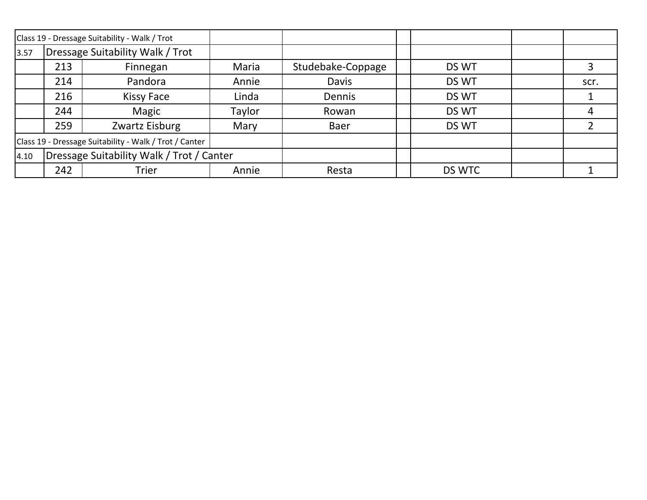|      |                                           | Class 19 - Dressage Suitability - Walk / Trot          |        |                   |        |      |
|------|-------------------------------------------|--------------------------------------------------------|--------|-------------------|--------|------|
| 3.57 | Dressage Suitability Walk / Trot          |                                                        |        |                   |        |      |
|      | 213                                       | Finnegan                                               | Maria  | Studebake-Coppage | DS WT  |      |
|      | 214                                       | Pandora                                                | Annie  | <b>Davis</b>      | DS WT  | scr. |
|      | 216                                       | <b>Kissy Face</b>                                      | Linda  | Dennis            | DS WT  |      |
|      | 244                                       | Magic                                                  | Taylor | Rowan             | DS WT  | 4    |
|      | 259                                       | Zwartz Eisburg                                         | Mary   | Baer              | DS WT  |      |
|      |                                           | Class 19 - Dressage Suitability - Walk / Trot / Canter |        |                   |        |      |
| 4.10 | Dressage Suitability Walk / Trot / Canter |                                                        |        |                   |        |      |
|      | 242                                       | Trier                                                  | Annie  | Resta             | DS WTC |      |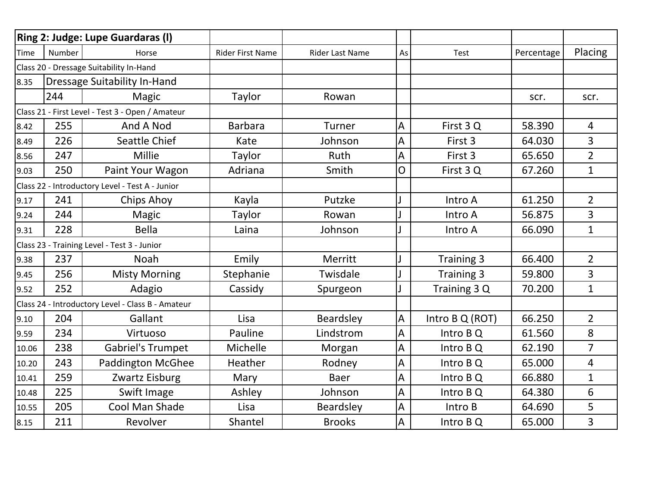|                                                  |        | <b>Ring 2: Judge: Lupe Guardaras (I)</b>          |                  |                        |    |                 |            |                |
|--------------------------------------------------|--------|---------------------------------------------------|------------------|------------------------|----|-----------------|------------|----------------|
| <b>Time</b>                                      | Number | Horse                                             | Rider First Name | <b>Rider Last Name</b> | As | Test            | Percentage | Placing        |
|                                                  |        | Class 20 - Dressage Suitability In-Hand           |                  |                        |    |                 |            |                |
| 8.35                                             |        | <b>Dressage Suitability In-Hand</b>               |                  |                        |    |                 |            |                |
|                                                  | 244    | Magic                                             | Taylor           | Rowan                  |    |                 | scr.       | scr.           |
| Class 21 - First Level - Test 3 - Open / Amateur |        |                                                   |                  |                        |    |                 |            |                |
| 8.42                                             | 255    | And A Nod                                         | <b>Barbara</b>   | Turner                 | A  | First 3Q        | 58.390     | $\overline{4}$ |
| 8.49                                             | 226    | Seattle Chief                                     | Kate             | Johnson                | А  | First 3         | 64.030     | $\overline{3}$ |
| 8.56                                             | 247    | Millie                                            | Taylor           | <b>Ruth</b>            | A  | First 3         | 65.650     | $\overline{2}$ |
| 9.03                                             | 250    | Paint Your Wagon                                  | Adriana          | Smith                  | 0  | First 3 Q       | 67.260     | $\mathbf{1}$   |
|                                                  |        | Class 22 - Introductory Level - Test A - Junior   |                  |                        |    |                 |            |                |
| 9.17                                             | 241    | <b>Chips Ahoy</b>                                 | Kayla            | Putzke                 |    | Intro A         | 61.250     | $\overline{2}$ |
| 9.24                                             | 244    | Magic                                             | Taylor           | Rowan                  |    | Intro A         | 56.875     | 3              |
| 9.31                                             | 228    | <b>Bella</b>                                      | Laina            | Johnson                |    | Intro A         | 66.090     | $\mathbf{1}$   |
|                                                  |        | Class 23 - Training Level - Test 3 - Junior       |                  |                        |    |                 |            |                |
| 9.38                                             | 237    | <b>Noah</b>                                       | Emily            | Merritt                |    | Training 3      | 66.400     | $\overline{2}$ |
| 9.45                                             | 256    | <b>Misty Morning</b>                              | Stephanie        | Twisdale               |    | Training 3      | 59.800     | $\overline{3}$ |
| 9.52                                             | 252    | Adagio                                            | Cassidy          | Spurgeon               |    | Training 3 Q    | 70.200     | $\mathbf{1}$   |
|                                                  |        | Class 24 - Introductory Level - Class B - Amateur |                  |                        |    |                 |            |                |
| 9.10                                             | 204    | Gallant                                           | Lisa             | Beardsley              | A  | Intro B Q (ROT) | 66.250     | $\overline{2}$ |
| 9.59                                             | 234    | Virtuoso                                          | Pauline          | Lindstrom              | A  | Intro B Q       | 61.560     | 8              |
| 10.06                                            | 238    | <b>Gabriel's Trumpet</b>                          | Michelle         | Morgan                 | A  | Intro B Q       | 62.190     | $\overline{7}$ |
| 10.20                                            | 243    | Paddington McGhee                                 | Heather          | Rodney                 | A  | Intro B Q       | 65.000     | $\overline{4}$ |
| 10.41                                            | 259    | Zwartz Eisburg                                    | Mary             | Baer                   | А  | Intro B Q       | 66.880     | $\mathbf{1}$   |
| 10.48                                            | 225    | Swift Image                                       | Ashley           | Johnson                | А  | Intro B Q       | 64.380     | 6              |
| 10.55                                            | 205    | Cool Man Shade                                    | Lisa             | Beardsley              | A  | Intro B         | 64.690     | 5              |
| 8.15                                             | 211    | Revolver                                          | Shantel          | <b>Brooks</b>          | А  | Intro B Q       | 65.000     | $\overline{3}$ |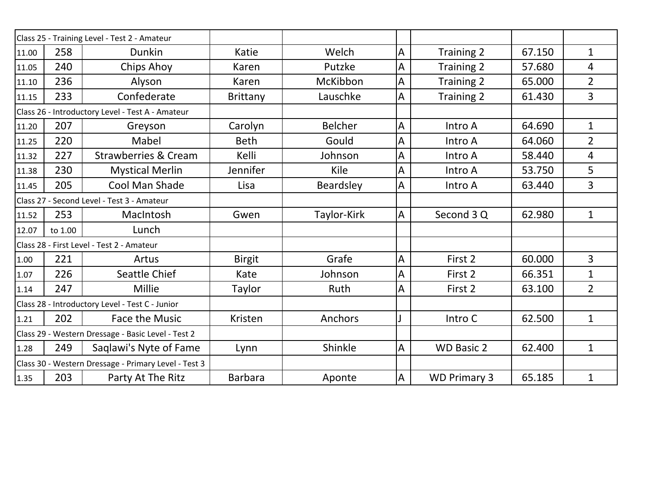|                                                  |         | Class 25 - Training Level - Test 2 - Amateur         |                 |                |                |                     |        |                |
|--------------------------------------------------|---------|------------------------------------------------------|-----------------|----------------|----------------|---------------------|--------|----------------|
| 11.00                                            | 258     | Dunkin                                               | Katie           | Welch          | $\mathsf{A}$   | Training 2          | 67.150 | $\mathbf 1$    |
| 11.05                                            | 240     | Chips Ahoy                                           | Karen           | Putzke         | A              | Training 2          | 57.680 | 4              |
| 11.10                                            | 236     | Alyson                                               | Karen           | McKibbon       | A              | Training 2          | 65.000 | $\overline{2}$ |
| 11.15                                            | 233     | Confederate                                          | <b>Brittany</b> | Lauschke       | $\mathsf{A}$   | Training 2          | 61.430 | 3              |
| Class 26 - Introductory Level - Test A - Amateur |         |                                                      |                 |                |                |                     |        |                |
| 11.20                                            | 207     | Greyson                                              | Carolyn         | <b>Belcher</b> | A              | Intro A             | 64.690 | $\mathbf 1$    |
| 11.25                                            | 220     | Mabel                                                | <b>Beth</b>     | Gould          | A              | Intro A             | 64.060 | $\overline{2}$ |
| 11.32                                            | 227     | <b>Strawberries &amp; Cream</b>                      | Kelli           | Johnson        | A              | Intro A             | 58.440 | 4              |
| 11.38                                            | 230     | <b>Mystical Merlin</b>                               | Jennifer        | Kile           | $\overline{A}$ | Intro A             | 53.750 | 5              |
| 11.45                                            | 205     | Cool Man Shade                                       | Lisa            | Beardsley      | A              | Intro A             | 63.440 | 3              |
|                                                  |         | Class 27 - Second Level - Test 3 - Amateur           |                 |                |                |                     |        |                |
| 11.52                                            | 253     | MacIntosh                                            | Gwen            | Taylor-Kirk    | A              | Second 3 Q          | 62.980 | $\mathbf 1$    |
| 12.07                                            | to 1.00 | Lunch                                                |                 |                |                |                     |        |                |
|                                                  |         | Class 28 - First Level - Test 2 - Amateur            |                 |                |                |                     |        |                |
| 1.00                                             | 221     | Artus                                                | <b>Birgit</b>   | Grafe          | $\overline{A}$ | First 2             | 60.000 | 3              |
| 1.07                                             | 226     | Seattle Chief                                        | Kate            | Johnson        | A              | First 2             | 66.351 | $\mathbf 1$    |
| 1.14                                             | 247     | Millie                                               | Taylor          | Ruth           | Α              | First 2             | 63.100 | $\overline{2}$ |
|                                                  |         | Class 28 - Introductory Level - Test C - Junior      |                 |                |                |                     |        |                |
| 1.21                                             | 202     | <b>Face the Music</b>                                | Kristen         | Anchors        |                | Intro C             | 62.500 | $\mathbf{1}$   |
|                                                  |         | Class 29 - Western Dressage - Basic Level - Test 2   |                 |                |                |                     |        |                |
| 1.28                                             | 249     | Saqlawi's Nyte of Fame                               | Lynn            | Shinkle        | A              | <b>WD Basic 2</b>   | 62.400 | $\mathbf{1}$   |
|                                                  |         | Class 30 - Western Dressage - Primary Level - Test 3 |                 |                |                |                     |        |                |
| 1.35                                             | 203     | Party At The Ritz                                    | <b>Barbara</b>  | Aponte         | A              | <b>WD Primary 3</b> | 65.185 | $\mathbf 1$    |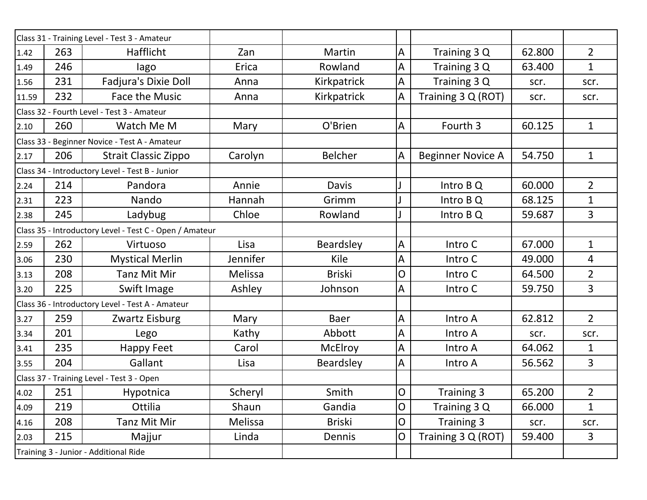|       |     | Class 31 - Training Level - Test 3 - Amateur            |          |                |              |                          |        |                |
|-------|-----|---------------------------------------------------------|----------|----------------|--------------|--------------------------|--------|----------------|
| 1.42  | 263 | Hafflicht                                               | Zan      | Martin         | A            | Training 3 Q             | 62.800 | $\overline{2}$ |
| 1.49  | 246 | lago                                                    | Erica    | Rowland        | $\mathsf A$  | Training 3 Q             | 63.400 | $\mathbf{1}$   |
| 1.56  | 231 | Fadjura's Dixie Doll                                    | Anna     | Kirkpatrick    | A            | Training 3 Q             | scr.   | scr.           |
| 11.59 | 232 | <b>Face the Music</b>                                   | Anna     | Kirkpatrick    | A            | Training 3 Q (ROT)       | scr.   | scr.           |
|       |     | Class 32 - Fourth Level - Test 3 - Amateur              |          |                |              |                          |        |                |
| 2.10  | 260 | Watch Me M                                              | Mary     | O'Brien        | A            | Fourth 3                 | 60.125 | $\mathbf{1}$   |
|       |     | Class 33 - Beginner Novice - Test A - Amateur           |          |                |              |                          |        |                |
| 2.17  | 206 | <b>Strait Classic Zippo</b>                             | Carolyn  | <b>Belcher</b> | A            | <b>Beginner Novice A</b> | 54.750 | $\mathbf{1}$   |
|       |     | Class 34 - Introductory Level - Test B - Junior         |          |                |              |                          |        |                |
| 2.24  | 214 | Pandora                                                 | Annie    | Davis          |              | Intro B Q                | 60.000 | $\overline{2}$ |
| 2.31  | 223 | Nando                                                   | Hannah   | Grimm          |              | Intro B Q                | 68.125 | $\mathbf{1}$   |
| 2.38  | 245 | Ladybug                                                 | Chloe    | Rowland        |              | Intro B Q                | 59.687 | $\overline{3}$ |
|       |     | Class 35 - Introductory Level - Test C - Open / Amateur |          |                |              |                          |        |                |
| 2.59  | 262 | Virtuoso                                                | Lisa     | Beardsley      | A            | Intro C                  | 67.000 | $\mathbf{1}$   |
| 3.06  | 230 | <b>Mystical Merlin</b>                                  | Jennifer | Kile           | Α            | Intro C                  | 49.000 | $\overline{4}$ |
| 3.13  | 208 | <b>Tanz Mit Mir</b>                                     | Melissa  | <b>Briski</b>  | 0            | Intro C                  | 64.500 | $\overline{2}$ |
| 3.20  | 225 | Swift Image                                             | Ashley   | Johnson        | A            | Intro C                  | 59.750 | 3              |
|       |     | Class 36 - Introductory Level - Test A - Amateur        |          |                |              |                          |        |                |
| 3.27  | 259 | Zwartz Eisburg                                          | Mary     | <b>Baer</b>    | A            | Intro A                  | 62.812 | $\overline{2}$ |
| 3.34  | 201 | Lego                                                    | Kathy    | Abbott         | A            | Intro A                  | scr.   | scr.           |
| 3.41  | 235 | Happy Feet                                              | Carol    | <b>McElroy</b> | A            | Intro A                  | 64.062 | $\mathbf 1$    |
| 3.55  | 204 | Gallant                                                 | Lisa     | Beardsley      | A            | Intro A                  | 56.562 | $\overline{3}$ |
|       |     | Class 37 - Training Level - Test 3 - Open               |          |                |              |                          |        |                |
| 4.02  | 251 | Hypotnica                                               | Scheryl  | Smith          | lO.          | <b>Training 3</b>        | 65.200 | $\overline{2}$ |
| 4.09  | 219 | Ottilia                                                 | Shaun    | Gandia         | $\mathsf{O}$ | Training 3 Q             | 66.000 | $\mathbf{1}$   |
| 4.16  | 208 | Tanz Mit Mir                                            | Melissa  | <b>Briski</b>  | $\mathsf{O}$ | Training 3               | scr.   | scr.           |
| 2.03  | 215 | Majjur                                                  | Linda    | Dennis         | O            | Training 3 Q (ROT)       | 59.400 | $\overline{3}$ |
|       |     | Training 3 - Junior - Additional Ride                   |          |                |              |                          |        |                |